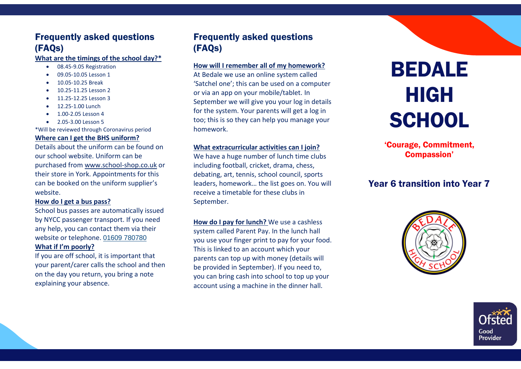# Frequently asked questions (FAQs)

## **What are the timings of the school day?\***

- 08.45-9.05 Registration
- 09.05-10.05 Lesson 1
- 10.05-10.25 Break
- 10.25-11.25 Lesson 2
- 11.25-12.25 Lesson 3
- 12.25-1.00 Lunch
- 1.00-2.05 Lesson 4
- 2.05-3.00 Lesson 5

\*Will be reviewed through Coronavirus period

#### **Where can I get the BHS uniform?**

Details about the uniform can be found on our school website. Uniform can be purchased from [www.school-shop.co.uk](http://www.school-shop.co.uk/) or their store in York. Appointments for this can be booked on the uniform supplier's website.

#### **How do I get a bus pass?**

School bus passes are automatically issued by NYCC passenger transport. If you need any help, you can contact them via their website or telephone. [01609 780780](tel:01609780780)

# **What if I'm poorly?**

If you are off school, it is important that your parent/carer calls the school and then on the day you return, you bring a note explaining your absence.

# Frequently asked questions (FAQs)

### **How will I remember all of my homework?**

At Bedale we use an online system called 'Satchel one'; this can be used on a computer or via an app on your mobile/tablet. In September we will give you your log in details for the system. Your parents will get a log in too; this is so they can help you manage your homework.

## **What extracurricular activities can I join?**

We have a huge number of lunch time clubs including football, cricket, drama, chess, debating, art, tennis, school council, sports leaders, homework… the list goes on. You will receive a timetable for these clubs in September.

**How do I pay for lunch?** We use a cashless system called Parent Pay. In the lunch hall you use your finger print to pay for your food. This is linked to an account which your parents can top up with money (details will be provided in September). If you need to, you can bring cash into school to top up your account using a machine in the dinner hall.

# BEDALE HIGH **SCHOOL**

'Courage, Commitment, Compassion'

# Year 6 transition into Year 7